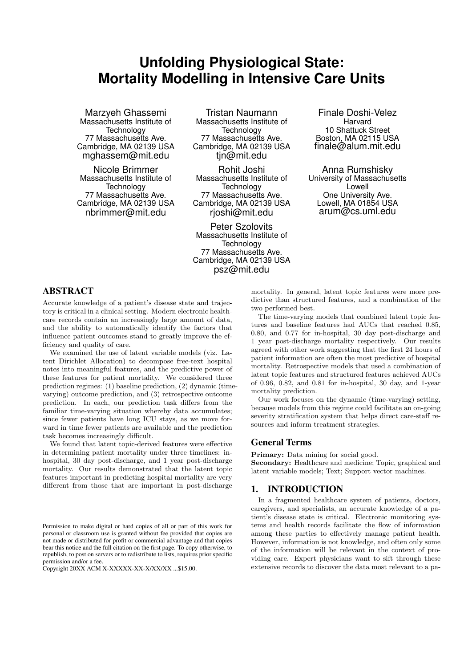# **Unfolding Physiological State: Mortality Modelling in Intensive Care Units**

Marzyeh Ghassemi Massachusetts Institute of **Technology** 77 Massachusetts Ave. Cambridge, MA 02139 USA mghassem@mit.edu

Nicole Brimmer Massachusetts Institute of **Technology** 77 Massachusetts Ave. Cambridge, MA 02139 USA nbrimmer@mit.edu

Tristan Naumann Massachusetts Institute of **Technology** 77 Massachusetts Ave. Cambridge, MA 02139 USA tjn@mit.edu

Rohit Joshi Massachusetts Institute of **Technology** 77 Massachusetts Ave. Cambridge, MA 02139 USA rjoshi@mit.edu

Peter Szolovits Massachusetts Institute of **Technology** 77 Massachusetts Ave. Cambridge, MA 02139 USA psz@mit.edu

Finale Doshi-Velez Harvard 10 Shattuck Street Boston, MA 02115 USA finale@alum.mit.edu

Anna Rumshisky University of Massachusetts Lowell One University Ave. Lowell, MA 01854 USA arum@cs.uml.edu

# ABSTRACT

Accurate knowledge of a patient's disease state and trajectory is critical in a clinical setting. Modern electronic healthcare records contain an increasingly large amount of data, and the ability to automatically identify the factors that influence patient outcomes stand to greatly improve the efficiency and quality of care.

We examined the use of latent variable models (viz. Latent Dirichlet Allocation) to decompose free-text hospital notes into meaningful features, and the predictive power of these features for patient mortality. We considered three prediction regimes: (1) baseline prediction, (2) dynamic (timevarying) outcome prediction, and (3) retrospective outcome prediction. In each, our prediction task differs from the familiar time-varying situation whereby data accumulates; since fewer patients have long ICU stays, as we move forward in time fewer patients are available and the prediction task becomes increasingly difficult.

We found that latent topic-derived features were effective in determining patient mortality under three timelines: inhospital, 30 day post-discharge, and 1 year post-discharge mortality. Our results demonstrated that the latent topic features important in predicting hospital mortality are very different from those that are important in post-discharge

mortality. In general, latent topic features were more predictive than structured features, and a combination of the two performed best.

The time-varying models that combined latent topic features and baseline features had AUCs that reached 0.85, 0.80, and 0.77 for in-hospital, 30 day post-discharge and 1 year post-discharge mortality respectively. Our results agreed with other work suggesting that the first 24 hours of patient information are often the most predictive of hospital mortality. Retrospective models that used a combination of latent topic features and structured features achieved AUCs of 0.96, 0.82, and 0.81 for in-hospital, 30 day, and 1-year mortality prediction.

Our work focuses on the dynamic (time-varying) setting, because models from this regime could facilitate an on-going severity stratification system that helps direct care-staff resources and inform treatment strategies.

#### General Terms

Primary: Data mining for social good. Secondary: Healthcare and medicine; Topic, graphical and latent variable models; Text; Support vector machines.

#### 1. INTRODUCTION

In a fragmented healthcare system of patients, doctors, caregivers, and specialists, an accurate knowledge of a patient's disease state is critical. Electronic monitoring systems and health records facilitate the flow of information among these parties to effectively manage patient health. However, information is not knowledge, and often only some of the information will be relevant in the context of providing care. Expert physicians want to sift through these extensive records to discover the data most relevant to a pa-

Permission to make digital or hard copies of all or part of this work for personal or classroom use is granted without fee provided that copies are not made or distributed for profit or commercial advantage and that copies bear this notice and the full citation on the first page. To copy otherwise, to republish, to post on servers or to redistribute to lists, requires prior specific permission and/or a fee.

Copyright 20XX ACM X-XXXXX-XX-X/XX/XX ...\$15.00.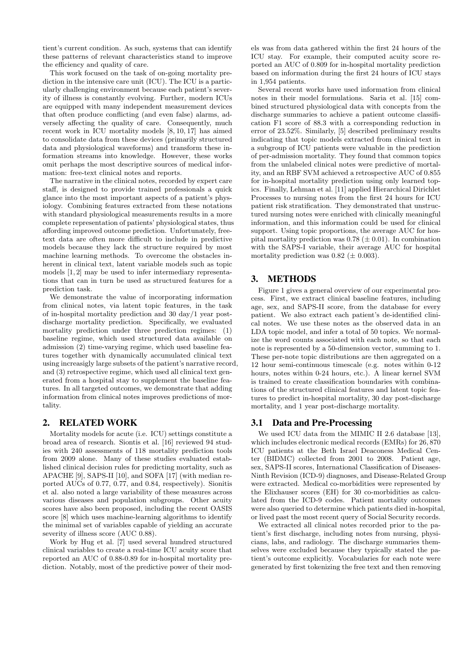tient's current condition. As such, systems that can identify these patterns of relevant characteristics stand to improve the efficiency and quality of care.

This work focused on the task of on-going mortality prediction in the intensive care unit (ICU). The ICU is a particularly challenging environment because each patient's severity of illness is constantly evolving. Further, modern ICUs are equipped with many independent measurement devices that often produce conflicting (and even false) alarms, adversely affecting the quality of care. Consequently, much recent work in ICU mortality models [8, 10, 17] has aimed to consolidate data from these devices (primarily structured data and physiological waveforms) and transform these information streams into knowledge. However, these works omit perhaps the most descriptive sources of medical information: free-text clinical notes and reports.

The narrative in the clinical notes, recorded by expert care staff, is designed to provide trained professionals a quick glance into the most important aspects of a patient's physiology. Combining features extracted from these notations with standard physiological measurements results in a more complete representation of patients' physiological states, thus affording improved outcome prediction. Unfortunately, freetext data are often more difficult to include in predictive models because they lack the structure required by most machine learning methods. To overcome the obstacles inherent in clinical text, latent variable models such as topic models [1, 2] may be used to infer intermediary representations that can in turn be used as structured features for a prediction task.

We demonstrate the value of incorporating information from clinical notes, via latent topic features, in the task of in-hospital mortality prediction and 30 day/1 year postdischarge mortality prediction. Specifically, we evaluated mortality prediction under three prediction regimes: (1) baseline regime, which used structured data available on admission (2) time-varying regime, which used baseline features together with dynamically accumulated clinical text using increasigly large subsets of the patient's narrative record, and (3) retrospective regime, which used all clinical text generated from a hospital stay to supplement the baseline features. In all targeted outcomes, we demonstrate that adding information from clinical notes improves predictions of mortality.

# 2. RELATED WORK

Mortality models for acute (i.e. ICU) settings constitute a broad area of research. Siontis et al. [16] reviewed 94 studies with 240 assessments of 118 mortality prediction tools from 2009 alone. Many of these studies evaluated established clinical decision rules for predicting mortality, such as APACHE [9], SAPS-II [10], and SOFA [17] (with median reported AUCs of 0.77, 0.77, and 0.84, respectively). Sionitis et al. also noted a large variability of these measures across various diseases and population subgroups. Other acuity scores have also been proposed, including the recent OASIS score [8] which uses machine-learning algorithms to identify the minimal set of variables capable of yielding an accurate severity of illness score (AUC 0.88).

Work by Hug et al. [7] used several hundred structured clinical variables to create a real-time ICU acuity score that reported an AUC of 0.88-0.89 for in-hospital mortality prediction. Notably, most of the predictive power of their mod-

els was from data gathered within the first 24 hours of the ICU stay. For example, their computed acuity score reported an AUC of 0.809 for in-hospital mortality prediction based on information during the first 24 hours of ICU stays in 1,954 patients.

Several recent works have used information from clinical notes in their model formulations. Saria et al. [15] combined structured physiological data with concepts from the discharge summaries to achieve a patient outcome classification F1 score of 88.3 with a corresponding reduction in error of 23.52%. Similarly, [5] described preliminary results indicating that topic models extracted from clinical text in a subgroup of ICU patients were valuable in the prediction of per-admission mortality. They found that common topics from the unlabeled clinical notes were predictive of mortality, and an RBF SVM achieved a retrospective AUC of 0.855 for in-hospital mortality prediction using only learned topics. Finally, Lehman et al. [11] applied Hierarchical Dirichlet Processes to nursing notes from the first 24 hours for ICU patient risk stratification. They demonstrated that unstructured nursing notes were enriched with clinically meaningful information, and this information could be used for clinical support. Using topic proportions, the average AUC for hospital mortality prediction was  $0.78 \ (\pm 0.01)$ . In combination with the SAPS-I variable, their average AUC for hospital mortality prediction was  $0.82 \ (\pm 0.003)$ .

# 3. METHODS

Figure 1 gives a general overview of our experimental process. First, we extract clinical baseline features, including age, sex, and SAPS-II score, from the database for every patient. We also extract each patient's de-identified clinical notes. We use these notes as the observed data in an LDA topic model, and infer a total of 50 topics. We normalize the word counts associated with each note, so that each note is represented by a 50-dimension vector, summing to 1. These per-note topic distributions are then aggregated on a 12 hour semi-continuous timescale (e.g. notes within 0-12 hours, notes within 0-24 hours, etc.). A linear kernel SVM is trained to create classification boundaries with combinations of the structured clinical features and latent topic features to predict in-hospital mortality, 30 day post-discharge mortality, and 1 year post-discharge mortality.

# 3.1 Data and Pre-Processing

We used ICU data from the MIMIC II 2.6 database [13], which includes electronic medical records (EMRs) for 26, 870 ICU patients at the Beth Israel Deaconess Medical Center (BIDMC) collected from 2001 to 2008. Patient age, sex, SAPS-II scores, International Classification of Diseases-Ninth Revision (ICD-9) diagnoses, and Disease-Related Group were extracted. Medical co-morbidities were represented by the Elixhauser scores (EH) for 30 co-morbidities as calculated from the ICD-9 codes. Patient mortality outcomes were also queried to determine which patients died in-hospital, or lived past the most recent query of Social Security records.

We extracted all clinical notes recorded prior to the patient's first discharge, including notes from nursing, physicians, labs, and radiology. The discharge summaries themselves were excluded because they typically stated the patient's outcome explicitly. Vocabularies for each note were generated by first tokenizing the free text and then removing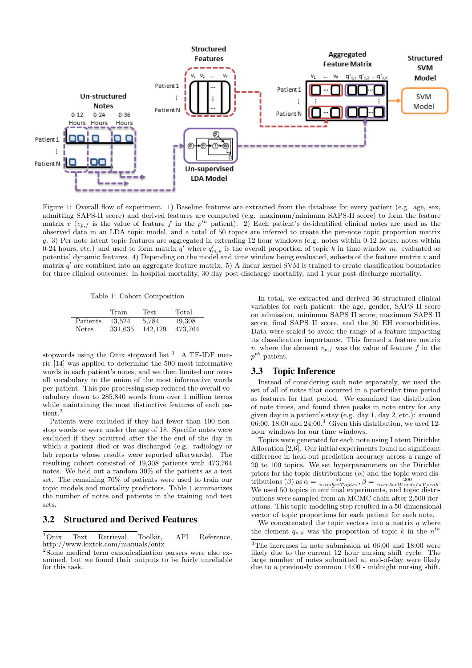

Figure 1: Overall flow of experiment. 1) Baseline features are extracted from the database for every patient (e.g. age, sex, admitting SAPS-II score) and derived features are computed (e.g. maximum/minimum SAPS-II score) to form the feature matrix v  $(v_{p,f}$  is the value of feature f in the  $p^{th}$  patient). 2) Each patient's de-identified clinical notes are used as the observed data in an LDA topic model, and a total of 50 topics are inferred to create the per-note topic proportion matrix q. 3) Per-note latent topic features are aggregated in extending 12 hour windows (e.g. notes within 0-12 hours, notes within 0-24 hours, etc.) and used to form matrix  $q'$  where  $q'_{m,k}$  is the overall proportion of topic k in time-window m. evaluated as potential dynamic features. 4) Depending on the model and time window being evaluated, subsets of the feature matrix  $v$  and matrix q' are combined into an aggregate feature matrix. 5) A linear kernel SVM is trained to create classification boundaries for three clinical outcomes: in-hospital mortality, 30 day post-discharge mortality, and 1 year post-discharge mortality.

Table 1: Cohort Composition

|              | Train   | Test    | Total   |
|--------------|---------|---------|---------|
| Patients     | 13,524  | 5,784   | 19,308  |
| <b>Notes</b> | 331,635 | 142.129 | 473,764 |

stopwords using the Onix stopword list<sup>1</sup>. A TF-IDF metric [14] was applied to determine the 500 most informative words in each patient's notes, and we then limited our overall vocabulary to the union of the most informative words per-patient. This pre-processing step reduced the overall vocabulary down to 285,840 words from over 1 million terms while maintaining the most distinctive features of each patient. $\rm ^2$ 

Patients were excluded if they had fewer than 100 nonstop words or were under the age of 18. Specific notes were excluded if they occurred after the the end of the day in which a patient died or was discharged (e.g. radiology or lab reports whose results were reported afterwards). The resulting cohort consisted of 19,308 patients with 473,764 notes. We held out a random 30% of the patients as a test set. The remaining 70% of patients were used to train our topic models and mortality predictors. Table 1 summarizes the number of notes and patients in the training and test sets.

# 3.2 Structured and Derived Features

<sup>1</sup>Onix Text Retrieval Toolkit, API Reference, http://www.lextek.com/manuals/onix

In total, we extracted and derived 36 structured clinical variables for each patient: the age, gender, SAPS II score on admission, minimum SAPS II score, maximum SAPS II score, final SAPS II score, and the 30 EH comorbidities. Data were scaled to avoid the range of a feature impacting its classification importance. This formed a feature matrix v, where the element  $v_{p,f}$  was the value of feature f in the  $p^{th}$  patient.

#### 3.3 Topic Inference

Instead of considering each note separately, we used the set of all of notes that occurred in a particular time period as features for that period. We examined the distribution of note times, and found three peaks in note entry for any given day in a patient's stay (e.g. day 1, day 2, etc.): around 06:00, 18:00 and  $24:00<sup>3</sup>$  Given this distribution, we used 12hour windows for our time windows.

Topics were generated for each note using Latent Dirichlet Allocation [2,6]. Our initial experiments found no significant difference in held-out prediction accuracy across a range of 20 to 100 topics. We set hyperparameters on the Dirichlet priors for the topic distributions  $(\alpha)$  and the topic-word distributions ( $\beta$ ) as  $\alpha = \frac{50}{numberTopics}, \beta = \frac{200}{numberWordsInVocab}.$ We used 50 topics in our final experiments, and topic distributions were sampled from an MCMC chain after 2,500 iterations. This topic-modeling step resulted in a 50-dimensional vector of topic proportions for each patient for each note.

We concatenated the topic vectors into a matrix  $q$  where the element  $q_{n,k}$  was the proportion of topic k in the  $n^{th}$ 

<sup>2</sup>Some medical term canonicalization parsers were also examined, but we found their outputs to be fairly unreliable for this task.

 $\overline{^{3}$ The increases in note submission at 06:00 and 18:00 were likely due to the current 12 hour nursing shift cycle. The large number of notes submitted at end-of-day were likely due to a previously common 14:00 - midnight nursing shift.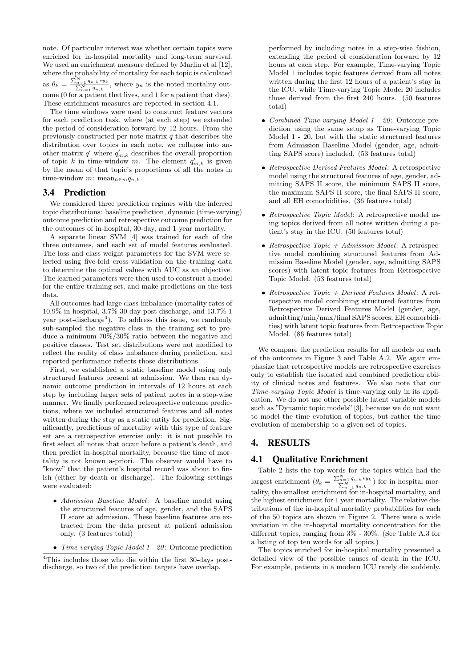note. Of particular interest was whether certain topics were enriched for in-hospital mortality and long-term survival. We used an enrichment measure defined by Marlin et al [12], where the probability of mortality for each topic is calculated as  $\theta_k = \frac{\sum_{n=1}^{N} q_{n,k} * y_k}{\sum_{n=1}^{N} q_{n,k}},$  where  $y_n$  is the noted mortality outcome (0 for a patient that lives, and 1 for a patient that dies). These enrichment measures are reported in section 4.1.

The time windows were used to construct feature vectors for each prediction task, where (at each step) we extended the period of consideration forward by 12 hours. From the previously constructed per-note matrix  $q$  that describes the distribution over topics in each note, we collapse into another matrix  $q'$  where  $q'_{m,k}$  describes the overall proportion of topic k in time-window m. The element  $q'_{m,k}$  is given by the mean of that topic's proportions of all the notes in time-window m: mean $_{n\in m}q_{n,k}$ .

#### 3.4 Prediction

We considered three prediction regimes with the inferred topic distributions: baseline prediction, dynamic (time-varying) outcome prediction and retrospective outcome prediction for the outcomes of in-hospital, 30-day, and 1-year mortality.

A separate linear SVM [4] was trained for each of the three outcomes, and each set of model features evaluated. The loss and class weight parameters for the SVM were selected using five-fold cross-validation on the training data to determine the optimal values with AUC as an objective. The learned parameters were then used to construct a model for the entire training set, and make predictions on the test data.

All outcomes had large class-imbalance (mortality rates of 10.9% in-hospital, 3.7% 30 day post-discharge, and 13.7% 1 year post-discharge<sup>4</sup>). To address this issue, we randomly sub-sampled the negative class in the training set to produce a minimum 70%/30% ratio between the negative and positive classes. Test set distributions were not modified to reflect the reality of class imbalance during prediction, and reported performance reflects those distributions.

First, we established a static baseline model using only structured features present at admission. We then ran dynamic outcome prediction in intervals of 12 hours at each step by including larger sets of patient notes in a step-wise manner. We finally performed retrospective outcome predictions, where we included structured features and all notes written during the stay as a static entity for prediction. Significantly, predictions of mortality with this type of feature set are a retrospective exercise only: it is not possible to first select all notes that occur before a patient's death, and then predict in-hospital mortality, because the time of mortality is not known a-priori. The observer would have to "know" that the patient's hospital record was about to finish (either by death or discharge). The following settings were evaluated:

- Admission Baseline Model: A baseline model using the structured features of age, gender, and the SAPS II score at admission. These baseline features are extracted from the data present at patient admission only. (3 features total)
- Time-varying Topic Model 1 20: Outcome prediction

performed by including notes in a step-wise fashion, extending the period of consideration forward by 12 hours at each step. For example, Time-varying Topic Model 1 includes topic features derived from all notes written during the first 12 hours of a patient's stay in the ICU, while Time-varying Topic Model 20 includes those derived from the first 240 hours. (50 features total)

- Combined Time-varying Model 1 20: Outcome prediction using the same setup as Time-varying Topic Model 1 - 20, but with the static structured features from Admission Baseline Model (gender, age, admitting SAPS score) included. (53 features total)
- Retrospective Derived Features Model: A retrospective model using the structured features of age, gender, admitting SAPS II score, the minimum SAPS II score, the maximum SAPS II score, the final SAPS II score, and all EH comorbidities. (36 features total)
- Retrospective Topic Model: A retrospective model using topics derived from all notes written during a patient's stay in the ICU. (50 features total)
- Retrospective Topic  $+$  Admission Model: A retrospective model combining structured features from Admission Baseline Model (gender, age, admitting SAPS scores) with latent topic features from Retrospective Topic Model. (53 features total)
- Retrospective Topic + Derived Features Model: A retrospective model combining structured features from Retrospective Derived Features Model (gender, age, admitting/min/max/final SAPS scores, EH comorbidities) with latent topic features from Retrospective Topic Model. (86 features total)

We compare the prediction results for all models on each of the outcomes in Figure 3 and Table A.2. We again emphasize that retrospective models are retrospective exercises only to establish the isolated and combined prediction ability of clinical notes and features. We also note that our Time-varying Topic Model is time-varying only in its application. We do not use other possible latent variable models such as "Dynamic topic models" [3], because we do not want to model the time evolution of topics, but rather the time evolution of membership to a given set of topics.

# 4. RESULTS

#### 4.1 Qualitative Enrichment

Table 2 lists the top words for the topics which had the largest enrichment  $(\theta_k = \frac{\sum_{n=1}^{N} q_{n,k} * y_k}{\sum_{n=1}^{N} q_{n,k}})$  for in-hospital mortality, the smallest enrichment for in-hospital mortality, and the highest enrichment for 1 year mortality. The relative distributions of the in-hospital mortality probabilities for each of the 50 topics are shown in Figure 2. There were a wide variation in the in-hospital mortality concentration for the different topics, ranging from 3% - 30%. (See Table A.3 for a listing of top ten words for all topics.)

The topics enriched for in-hospital mortality presented a detailed view of the possible causes of death in the ICU. For example, patients in a modern ICU rarely die suddenly.

<sup>4</sup>This includes those who die within the first 30-days postdischarge, so two of the prediction targets have overlap.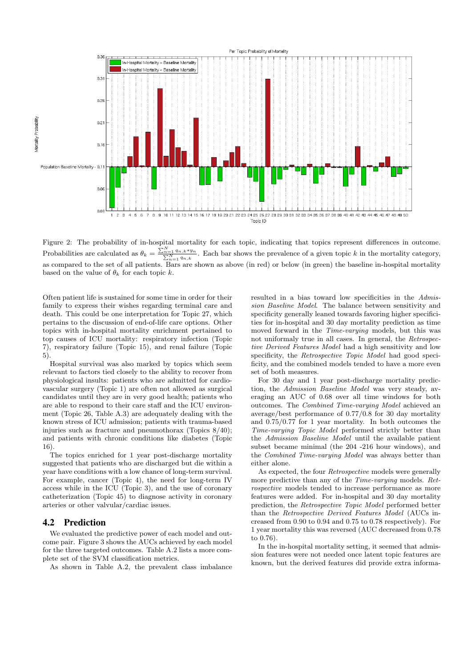

Figure 2: The probability of in-hospital mortality for each topic, indicating that topics represent differences in outcome. Probabilities are calculated as  $\theta_k = \frac{\sum_{n=1}^{N} q_{n,k} * y_n}{\sum_{n=1}^{N} q_{n,k}}$ . Each bar shows the prevalence of a given topic k in the mortality category, as compared to the set of all patients. Bars are shown as above (in red) or below (in green) the baseline in-hospital mortality based on the value of  $\theta_k$  for each topic k.

Often patient life is sustained for some time in order for their family to express their wishes regarding terminal care and death. This could be one interpretation for Topic 27, which pertains to the discussion of end-of-life care options. Other topics with in-hospital mortality enrichment pertained to top causes of ICU mortality: respiratory infection (Topic 7), respiratory failure (Topic 15), and renal failure (Topic 5).

Hospital survival was also marked by topics which seem relevant to factors tied closely to the ability to recover from physiological insults: patients who are admitted for cardiovascular surgery (Topic 1) are often not allowed as surgical candidates until they are in very good health; patients who are able to respond to their care staff and the ICU environment (Topic 26, Table A.3) are adequately dealing with the known stress of ICU admission; patients with trauma-based injuries such as fracture and pneumothorax (Topics 8/40); and patients with chronic conditions like diabetes (Topic 16).

The topics enriched for 1 year post-discharge mortality suggested that patients who are discharged but die within a year have conditions with a low chance of long-term survival. For example, cancer (Topic 4), the need for long-term IV access while in the ICU (Topic 3), and the use of coronary catheterization (Topic 45) to diagnose activity in coronary arteries or other valvular/cardiac issues.

#### 4.2 Prediction

We evaluated the predictive power of each model and outcome pair. Figure 3 shows the AUCs achieved by each model for the three targeted outcomes. Table A.2 lists a more complete set of the SVM classification metrics.

As shown in Table A.2, the prevalent class imbalance

resulted in a bias toward low specificities in the Admission Baseline Model. The balance between sensitivity and specificity generally leaned towards favoring higher specificities for in-hospital and 30 day mortality prediction as time moved forward in the *Time-varying* models, but this was not uniformaly true in all cases. In general, the Retrospective Derived Features Model had a high sensitivity and low specificity, the Retrospective Topic Model had good specificity, and the combined models tended to have a more even set of both measures.

For 30 day and 1 year post-discharge mortality prediction, the Admission Baseline Model was very steady, averaging an AUC of 0.68 over all time windows for both outcomes. The Combined Time-varying Model achieved an average/best performance of 0.77/0.8 for 30 day mortality and 0.75/0.77 for 1 year mortality. In both outcomes the Time-varying Topic Model performed strictly better than the Admission Baseline Model until the available patient subset became minimal (the 204 -216 hour windows), and the Combined Time-varying Model was always better than either alone.

As expected, the four Retrospective models were generally more predictive than any of the Time-varying models. Retrospective models tended to increase performance as more features were added. For in-hospital and 30 day mortality prediction, the Retrospective Topic Model performed better than the Retrospective Derived Features Model (AUCs increased from 0.90 to 0.94 and 0.75 to 0.78 respectively). For 1 year mortality this was reversed (AUC decreased from 0.78 to 0.76).

In the in-hospital mortality setting, it seemed that admission features were not needed once latent topic features are known, but the derived features did provide extra informa-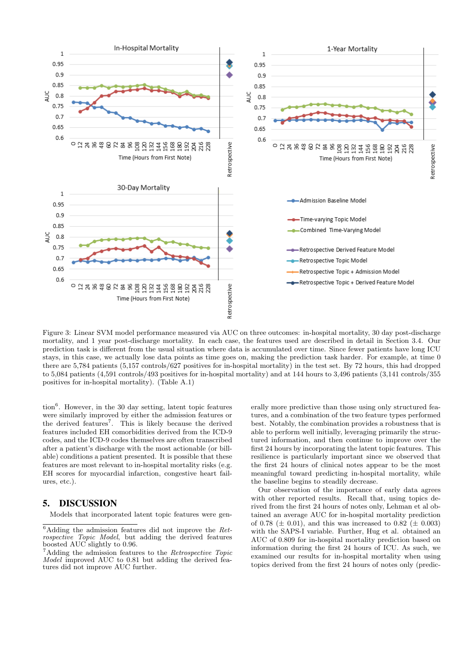

Figure 3: Linear SVM model performance measured via AUC on three outcomes: in-hospital mortality, 30 day post-discharge mortality, and 1 year post-discharge mortality. In each case, the features used are described in detail in Section 3.4. Our prediction task is different from the usual situation where data is accumulated over time. Since fewer patients have long ICU stays, in this case, we actually lose data points as time goes on, making the prediction task harder. For example, at time 0 there are 5,784 patients (5,157 controls/627 positives for in-hospital mortality) in the test set. By 72 hours, this had dropped to 5,084 patients (4,591 controls/493 positives for in-hospital mortality) and at 144 hours to 3,496 patients (3,141 controls/355 positives for in-hospital mortality). (Table A.1)

tion<sup>6</sup>. However, in the 30 day setting, latent topic features were similarly improved by either the admission features or the derived features<sup>7</sup>. This is likely because the derived features included EH comorbidities derived from the ICD-9 codes, and the ICD-9 codes themselves are often transcribed after a patient's discharge with the most actionable (or billable) conditions a patient presented. It is possible that these features are most relevant to in-hospital mortality risks (e.g. EH scores for myocardial infarction, congestive heart failures, etc.).

# 5. DISCUSSION

Models that incorporated latent topic features were gen-

erally more predictive than those using only structured features, and a combination of the two feature types performed best. Notably, the combination provides a robustness that is able to perform well initially, leveraging primarily the structured information, and then continue to improve over the first 24 hours by incorporating the latent topic features. This resilience is particularly important since we observed that the first 24 hours of clinical notes appear to be the most meaningful toward predicting in-hospital mortality, while the baseline begins to steadily decrease.

Our observation of the importance of early data agrees with other reported results. Recall that, using topics derived from the first 24 hours of notes only, Lehman et al obtained an average AUC for in-hospital mortality prediction of 0.78 ( $\pm$  0.01), and this was increased to 0.82 ( $\pm$  0.003) with the SAPS-I variable. Further, Hug et al. obtained an AUC of 0.809 for in-hospital mortality prediction based on information during the first 24 hours of ICU. As such, we examined our results for in-hospital mortality when using topics derived from the first 24 hours of notes only (predic-

 $6$ Adding the admission features did not improve the Retrospective Topic Model, but adding the derived features boosted AUC slightly to 0.96.

<sup>&</sup>lt;sup>7</sup>Adding the admission features to the *Retrospective Topic* Model improved AUC to 0.81 but adding the derived features did not improve AUC further.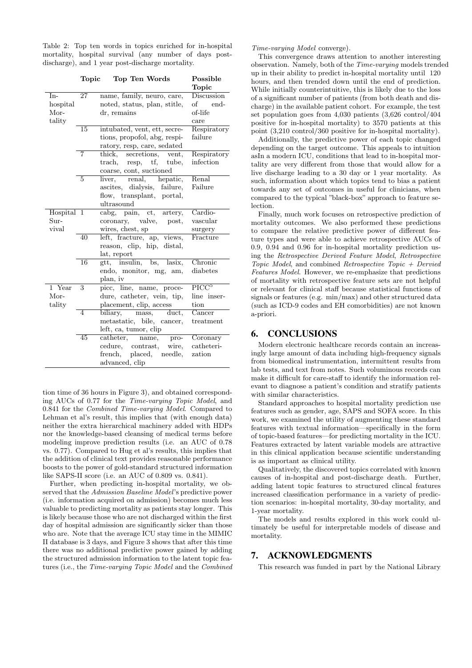Table 2: Top ten words in topics enriched for in-hospital mortality, hospital survival (any number of days postdischarge), and 1 year post-discharge mortality.

|            | Topic          | Top Ten Words                                     | Possible                     |
|------------|----------------|---------------------------------------------------|------------------------------|
|            |                |                                                   | Topic                        |
| $In-$      | 27             | name, family, neuro, care,                        | Discussion                   |
| hospital   |                | noted, status, plan, stitle,                      | of end-                      |
| Mor-       |                | dr, remains                                       | of-life                      |
| tality     |                |                                                   | care                         |
|            | 15             | intubated, vent, ett, secre-                      | Respiratory                  |
|            |                | tions, propofol, abg, respi-                      | failure                      |
|            |                | ratory, resp, care, sedated                       |                              |
|            | 7              | secretions, vent,<br>$\operatorname{thick},$      | Respiratory                  |
|            |                | $resp, \quad tf,$<br>tube,<br>$\mathrm{track},\,$ | infection                    |
|            |                | coarse, cont, suctioned                           |                              |
|            | $\overline{5}$ | renal, hepatic,<br>liver,                         | Renal                        |
|            |                | ascites, dialysis, failure,                       | Failure                      |
|            |                | flow, transplant, portal,                         |                              |
|            |                | ultrasound                                        |                              |
| Hospital 1 |                | cabg, pain, ct, artery,                           | Cardio-                      |
| Sur-       |                | coronary, valve, post,                            | vascular                     |
| vival      |                | wires, chest, sp                                  | surgery                      |
|            | 40             | left, fracture, ap, views,                        | Fracture                     |
|            |                | reason, clip, hip, distal,                        |                              |
|            |                | lat, report                                       |                              |
|            | 16             | gtt, insulin, bs, lasix,                          | Chronic                      |
|            |                | endo, monitor, mg, am,                            | diabetes                     |
|            |                | plan, iv                                          |                              |
| 1 Year     | 3              | picc, line, name, proce-                          | $\overline{\mathrm{PICC}^5}$ |
| Mor-       |                | dure, catheter, vein, tip,                        | line inser-                  |
| tality     |                | placement, clip, access                           | tion                         |
|            | 4              | mass,<br>duct.<br>biliary,                        | Cancer                       |
|            |                | metastatic, bile, cancer,                         | treatment                    |
|            |                | left, ca, tumor, clip                             |                              |
|            | 45             | catheter, name,<br>pro-                           | Coronary                     |
|            |                | cedure, contrast, wire,                           | catheteri-                   |
|            |                | french, placed, needle,                           | zation                       |
|            |                | advanced, clip                                    |                              |

tion time of 36 hours in Figure 3), and obtained corresponding AUCs of 0.77 for the Time-varying Topic Model, and 0.841 for the Combined Time-varying Model. Compared to Lehman et al's result, this implies that (with enough data) neither the extra hierarchical machinery added with HDPs nor the knowledge-based cleansing of medical terms before modeling improve prediction results (i.e. an AUC of 0.78 vs. 0.77). Compared to Hug et al's results, this implies that the addition of clinical text provides reasonable performance boosts to the power of gold-standard structured information like SAPS-II score (i.e. an AUC of 0.809 vs. 0.841).

Further, when predicting in-hospital mortality, we observed that the Admission Baseline Model's predictive power (i.e. information acquired on admission) becomes much less valuable to predicting mortality as patients stay longer. This is likely because those who are not discharged within the first day of hospital admission are significantly sicker than those who are. Note that the average ICU stay time in the MIMIC II database is 3 days, and Figure 3 shows that after this time there was no additional predictive power gained by adding the structured admission information to the latent topic features (i.e., the Time-varying Topic Model and the Combined Time-varying Model converge).

This convergence draws attention to another interesting observation. Namely, both of the Time-varying models trended up in their ability to predict in-hospital mortality until 120 hours, and then trended down until the end of prediction. While initially counterintuitive, this is likely due to the loss of a significant number of patients (from both death and discharge) in the available patient cohort. For example, the test set population goes from 4,030 patients (3,626 control/404 positive for in-hospital mortality) to 3570 patients at this point (3,210 control/360 positive for in-hospital mortality).

Additionally, the predictive power of each topic changed depending on the target outcome. This appeals to intuition asIn a modern ICU, conditions that lead to in-hospital mortality are very different from those that would allow for a live discharge leading to a 30 day or 1 year mortality. As such, information about which topics tend to bias a patient towards any set of outcomes in useful for clinicians, when compared to the typical "black-box" approach to feature selection.

Finally, much work focuses on retrospective prediction of mortality outcomes. We also performed these predictions to compare the relative predictive power of different feature types and were able to achieve retrospective AUCs of 0.9, 0.94 and 0.96 for in-hospital mortality prediction using the Retrospective Derived Feature Model, Retrospective Topic Model, and combined Retrospective Topic  $+$  Dervied Features Model. However, we re-emphasize that predictions of mortality with retrospective feature sets are not helpful or relevant for clinical staff because statistical functions of signals or features (e.g. min/max) and other structured data (such as ICD-9 codes and EH comorbidities) are not known a-priori.

### 6. CONCLUSIONS

Modern electronic healthcare records contain an increasingly large amount of data including high-frequency signals from biomedical instrumentation, intermittent results from lab tests, and text from notes. Such voluminous records can make it difficult for care-staff to identify the information relevant to diagnose a patient's condition and stratify patients with similar characteristics.

Standard approaches to hospital mortality prediction use features such as gender, age, SAPS and SOFA score. In this work, we examined the utility of augmenting these standard features with textual information—specifically in the form of topic-based features—for predicting mortality in the ICU. Features extracted by latent variable models are attractive in this clinical application because scientific understanding is as important as clinical utility.

Qualitatively, the discovered topics correlated with known causes of in-hospital and post-discharge death. Further, adding latent topic features to structured clincal features increased classification performance in a variety of prediction scenarios: in-hospital mortality, 30-day mortality, and 1-year mortality.

The models and results explored in this work could ultimately be useful for interpretable models of disease and mortality.

#### 7. ACKNOWLEDGMENTS

This research was funded in part by the National Library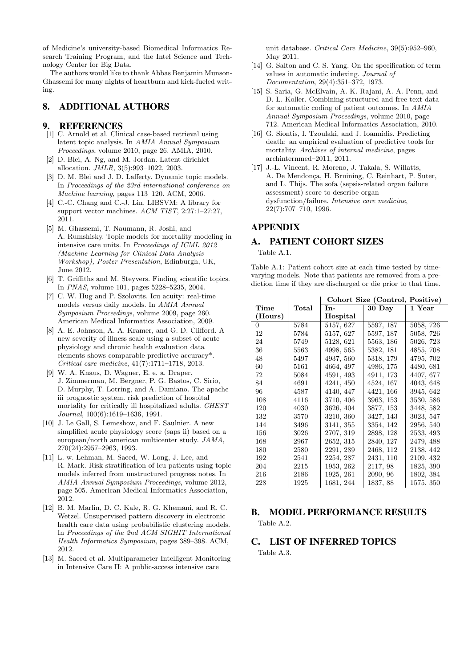of Medicine's university-based Biomedical Informatics Research Training Program, and the Intel Science and Technology Center for Big Data.

The authors would like to thank Abbas Benjamin Munson-Ghassemi for many nights of heartburn and kick-fueled writing.

# 8. ADDITIONAL AUTHORS

#### 9. REFERENCES

- [1] C. Arnold et al. Clinical case-based retrieval using latent topic analysis. In AMIA Annual Symposium Proceedings, volume 2010, page 26. AMIA, 2010.
- [2] D. Blei, A. Ng, and M. Jordan. Latent dirichlet allocation. JMLR, 3(5):993–1022, 2003.
- [3] D. M. Blei and J. D. Lafferty. Dynamic topic models. In Proceedings of the 23rd international conference on Machine learning, pages 113–120. ACM, 2006.
- [4] C.-C. Chang and C.-J. Lin. LIBSVM: A library for support vector machines. ACM TIST, 2:27:1–27:27, 2011.
- [5] M. Ghassemi, T. Naumann, R. Joshi, and A. Rumshisky. Topic models for mortality modeling in intensive care units. In Proceedings of ICML 2012 (Machine Learning for Clinical Data Analysis Workshop), Poster Presentation, Edinburgh, UK, June 2012.
- [6] T. Griffiths and M. Steyvers. Finding scientific topics. In PNAS, volume 101, pages 5228–5235, 2004.
- [7] C. W. Hug and P. Szolovits. Icu acuity: real-time models versus daily models. In AMIA Annual Symposium Proceedings, volume 2009, page 260. American Medical Informatics Association, 2009.
- [8] A. E. Johnson, A. A. Kramer, and G. D. Clifford. A new severity of illness scale using a subset of acute physiology and chronic health evaluation data elements shows comparable predictive accuracy\*. Critical care medicine, 41(7):1711–1718, 2013.
- [9] W. A. Knaus, D. Wagner, E. e. a. Draper, J. Zimmerman, M. Bergner, P. G. Bastos, C. Sirio, D. Murphy, T. Lotring, and A. Damiano. The apache iii prognostic system. risk prediction of hospital mortality for critically ill hospitalized adults. CHEST Journal, 100(6):1619–1636, 1991.
- [10] J. Le Gall, S. Lemeshow, and F. Saulnier. A new simplified acute physiology score (saps ii) based on a european/north american multicenter study. JAMA, 270(24):2957–2963, 1993.
- [11] L.-w. Lehman, M. Saeed, W. Long, J. Lee, and R. Mark. Risk stratification of icu patients using topic models inferred from unstructured progress notes. In AMIA Annual Symposium Proceedings, volume 2012, page 505. American Medical Informatics Association, 2012.
- [12] B. M. Marlin, D. C. Kale, R. G. Khemani, and R. C. Wetzel. Unsupervised pattern discovery in electronic health care data using probabilistic clustering models. In Proceedings of the 2nd ACM SIGHIT International Health Informatics Symposium, pages 389–398. ACM, 2012.
- [13] M. Saeed et al. Multiparameter Intelligent Monitoring in Intensive Care II: A public-access intensive care

unit database. Critical Care Medicine, 39(5):952–960, May 2011.

- [14] G. Salton and C. S. Yang. On the specification of term values in automatic indexing. Journal of Documentation, 29(4):351–372, 1973.
- [15] S. Saria, G. McElvain, A. K. Rajani, A. A. Penn, and D. L. Koller. Combining structured and free-text data for automatic coding of patient outcomes. In AMIA Annual Symposium Proceedings, volume 2010, page 712. American Medical Informatics Association, 2010.
- [16] G. Siontis, I. Tzoulaki, and J. Ioannidis. Predicting death: an empirical evaluation of predictive tools for mortality. Archives of internal medicine, pages archinternmed–2011, 2011.
- [17] J.-L. Vincent, R. Moreno, J. Takala, S. Willatts, A. De Mendonça, H. Bruining, C. Reinhart, P. Suter, and L. Thijs. The sofa (sepsis-related organ failure assessment) score to describe organ dysfunction/failure. Intensive care medicine, 22(7):707–710, 1996.

# APPENDIX

# A. PATIENT COHORT SIZES

Table A.1.

| Table A.1: Patient cohort size at each time tested by time-    |  |
|----------------------------------------------------------------|--|
| varying models. Note that patients are removed from a pre-     |  |
| diction time if they are discharged or die prior to that time. |  |

|         |             |           | Cohort Size (Control, Positive) |           |
|---------|-------------|-----------|---------------------------------|-----------|
| Time    | $\rm Total$ | In-       | $30$ Day                        | 1 Year    |
| (Hours) |             | Hospital  |                                 |           |
| 0       | 5784        | 5157, 627 | 5597, 187                       | 5058, 726 |
| 12      | 5784        | 5157, 627 | 5597, 187                       | 5058, 726 |
| 24      | 5749        | 5128, 621 | 5563, 186                       | 5026, 723 |
| 36      | 5563        | 4998, 565 | 5382, 181                       | 4855, 708 |
| 48      | 5497        | 4937, 560 | 5318, 179                       | 4795, 702 |
| 60      | 5161        | 4664, 497 | 4986, 175                       | 4480, 681 |
| 72      | 5084        | 4591, 493 | 4911, 173                       | 4407, 677 |
| 84      | 4691        | 4241, 450 | 4524, 167                       | 4043, 648 |
| 96      | 4587        | 4140, 447 | 4421, 166                       | 3945, 642 |
| 108     | 4116        | 3710, 406 | 3963, 153                       | 3530, 586 |
| 120     | 4030        | 3626, 404 | 3877, 153                       | 3448, 582 |
| 132     | 3570        | 3210, 360 | 3427, 143                       | 3023, 547 |
| 144     | 3496        | 3141, 355 | 3354, 142                       | 2956, 540 |
| 156     | 3026        | 2707, 319 | 2898, 128                       | 2533, 493 |
| 168     | 2967        | 2652, 315 | 2840, 127                       | 2479, 488 |
| 180     | 2580        | 2291, 289 | 2468, 112                       | 2138, 442 |
| 192     | 2541        | 2254, 287 | 2431, 110                       | 2109, 432 |
| 204     | 2215        | 1953, 262 | 2117, 98                        | 1825, 390 |
| 216     | 2186        | 1925, 261 | 2090, 96                        | 1802, 384 |
| 228     | 1925        | 1681, 244 | 1837, 88                        | 1575, 350 |

# B. MODEL PERFORMANCE RESULTS

Table A.2.

# C. LIST OF INFERRED TOPICS

Table A.3.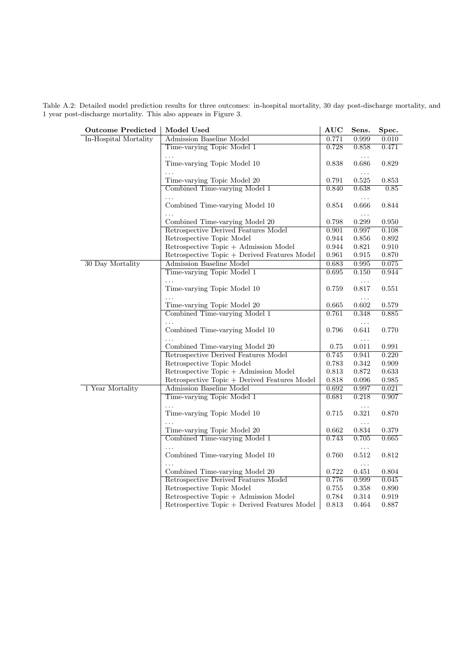Table A.2: Detailed model prediction results for three outcomes: in-hospital mortality, 30 day post-discharge mortality, and 1 year post-discharge mortality. This also appears in Figure 3.

| Outcome Predicted     | Model Used                                   | AUC   | Sens.                  | Spec.       |
|-----------------------|----------------------------------------------|-------|------------------------|-------------|
| In-Hospital Mortality | <b>Admission Baseline Model</b>              | 0.771 | 0.999                  | 0.010       |
|                       | Time-varying Topic Model 1                   | 0.728 | 0.858                  | 0.471       |
|                       | Time-varying Topic Model 10                  | 0.838 | .<br>0.686<br>.        | 0.829       |
|                       | Time-varying Topic Model 20                  | 0.791 | 0.525                  | 0.853       |
|                       | Combined Time-varying Model 1                | 0.840 | 0.638<br>$\ldots$      | 0.85        |
|                       | Combined Time-varying Model 10               | 0.854 | 0.666<br>$\ddots$      | 0.844       |
|                       | Combined Time-varying Model 20               | 0.798 | 0.299                  | $0.950\,$   |
|                       | Retrospective Derived Features Model         | 0.901 | 0.997                  | 0.108       |
|                       | Retrospective Topic Model                    | 0.944 | 0.856                  | $\,0.892\,$ |
|                       | Retrospective Topic + Admission Model        | 0.944 | 0.821                  | $0.910\,$   |
|                       | Retrospective Topic + Derived Features Model | 0.961 | 0.915                  | 0.870       |
| 30 Day Mortality      | Admission Baseline Model                     | 0.683 | 0.995                  | 0.075       |
|                       | Time-varying Topic Model 1                   | 0.695 | 0.150                  | 0.944       |
|                       | Time-varying Topic Model 10                  | 0.759 | $\cdots$<br>0.817      | 0.551       |
|                       |                                              |       | $\ldots$               |             |
|                       | Time-varying Topic Model 20                  | 0.665 | 0.602                  | 0.579       |
|                       | Combined Time-varying Model 1                | 0.761 | 0.348                  | 0.885       |
|                       |                                              |       | $\ldots$               |             |
|                       | Combined Time-varying Model 10               | 0.796 | 0.641                  | 0.770       |
|                       |                                              |       | $\ldots$               |             |
|                       | Combined Time-varying Model 20               | 0.75  | 0.011                  | 0.991       |
|                       | Retrospective Derived Features Model         | 0.745 | 0.941                  | 0.220       |
|                       | Retrospective Topic Model                    | 0.783 | $\,0.342\,$            | 0.909       |
|                       | Retrospective Topic + Admission Model        | 0.813 | $0.872\,$              | 0.633       |
|                       | Retrospective Topic + Derived Features Model | 0.818 | $0.096\,$              | $\!0.985\!$ |
| 1 Year Mortality      | Admission Baseline Model                     | 0.692 | 0.997                  | 0.021       |
|                       | Time-varying Topic Model 1                   | 0.681 | 0.218                  | 0.907       |
|                       | .<br>Time-varying Topic Model 10             | 0.715 | $\ldots$<br>0.321<br>. | 0.870       |
|                       | Time-varying Topic Model 20                  | 0.662 | 0.834                  | 0.379       |
|                       | Combined Time-varying Model 1                | 0.743 | 0.705                  | 0.665       |
|                       | Combined Time-varying Model 10               | 0.760 | $\ddotsc$<br>0.512     | 0.812       |
|                       | Combined Time-varying Model 20               | 0.722 | .<br>0.451             | $\,0.804\,$ |
|                       | Retrospective Derived Features Model         | 0.776 | 0.999                  | 0.045       |
|                       | Retrospective Topic Model                    | 0.755 | 0.358                  | 0.890       |
|                       | Retrospective Topic + Admission Model        | 0.784 | 0.314                  | 0.919       |
|                       | Retrospective Topic + Derived Features Model | 0.813 | 0.464                  | 0.887       |